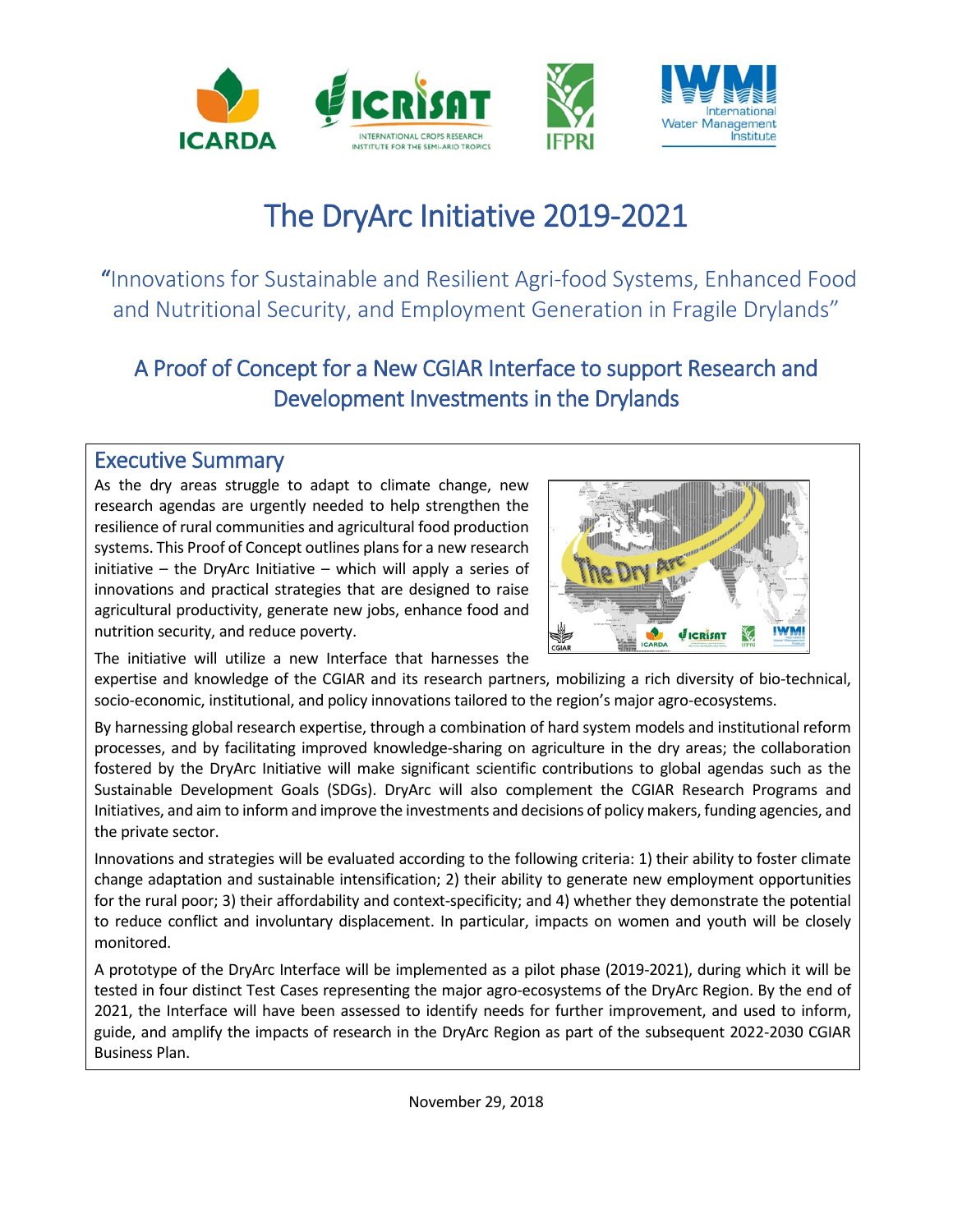

# The DryArc Initiative 2019-2021

 "Innovations for Sustainable and Resilient Agri-food Systems, Enhanced Food and Nutritional Security, and Employment Generation in Fragile Drylands"

# A Proof of Concept for a New CGIAR Interface to support Research and Development Investments in the Drylands

### Executive Summary

As the dry areas struggle to adapt to climate change, new research agendas are urgently needed to help strengthen the resilience of rural communities and agricultural food production systems. This Proof of Concept outlines plans for a new research initiative – the DryArc Initiative – which will apply a series of innovations and practical strategies that are designed to raise agricultural productivity, generate new jobs, enhance food and nutrition security, and reduce poverty.



The initiative will utilize a new Interface that harnesses the

expertise and knowledge of the CGIAR and its research partners, mobilizing a rich diversity of bio-technical, socio-economic, institutional, and policy innovations tailored to the region's major agro-ecosystems.

By harnessing global research expertise, through a combination of hard system models and institutional reform processes, and by facilitating improved knowledge-sharing on agriculture in the dry areas; the collaboration fostered by the DryArc Initiative will make significant scientific contributions to global agendas such as the Sustainable Development Goals (SDGs). DryArc will also complement the CGIAR Research Programs and Initiatives, and aim to inform and improve the investments and decisions of policy makers, funding agencies, and the private sector.

Innovations and strategies will be evaluated according to the following criteria: 1) their ability to foster climate change adaptation and sustainable intensification; 2) their ability to generate new employment opportunities for the rural poor; 3) their affordability and context-specificity; and 4) whether they demonstrate the potential to reduce conflict and involuntary displacement. In particular, impacts on women and youth will be closely monitored.

A prototype of the DryArc Interface will be implemented as a pilot phase (2019-2021), during which it will be tested in four distinct Test Cases representing the major agro-ecosystems of the DryArc Region. By the end of 2021, the Interface will have been assessed to identify needs for further improvement, and used to inform, guide, and amplify the impacts of research in the DryArc Region as part of the subsequent 2022-2030 CGIAR Business Plan.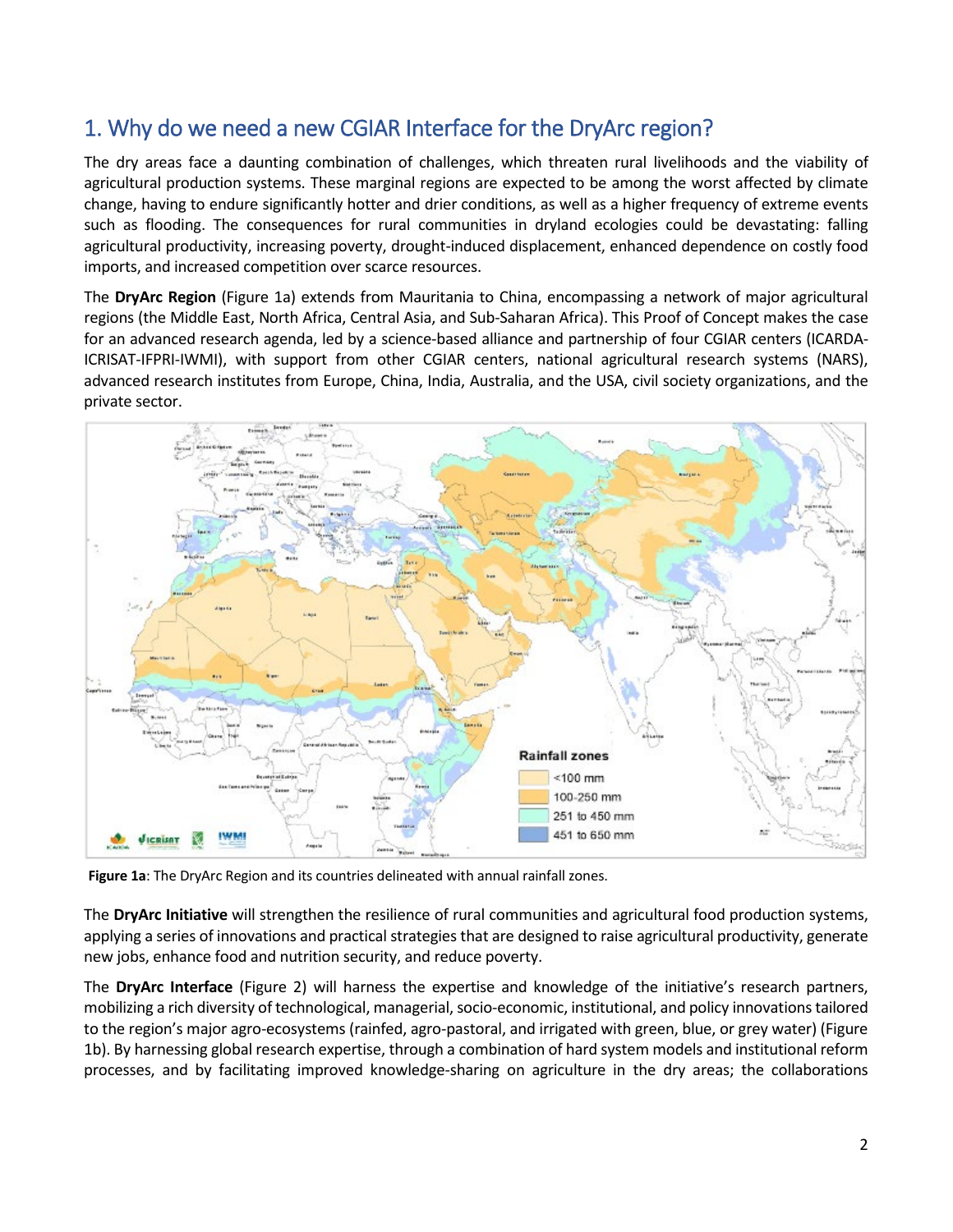### 1. Why do we need a new CGIAR Interface for the DryArc region?

The dry areas face a daunting combination of challenges, which threaten rural livelihoods and the viability of agricultural production systems. These marginal regions are expected to be among the worst affected by climate change, having to endure significantly hotter and drier conditions, as well as a higher frequency of extreme events such as flooding. The consequences for rural communities in dryland ecologies could be devastating: falling agricultural productivity, increasing poverty, drought-induced displacement, enhanced dependence on costly food imports, and increased competition over scarce resources.

The **DryArc Region** (Figure 1a) extends from Mauritania to China, encompassing a network of major agricultural regions (the Middle East, North Africa, Central Asia, and Sub-Saharan Africa). This Proof of Concept makes the case for an advanced research agenda, led by a science-based alliance and partnership of four CGIAR centers (ICARDA-ICRISAT-IFPRI-IWMI), with support from other CGIAR centers, national agricultural research systems (NARS), advanced research institutes from Europe, China, India, Australia, and the USA, civil society organizations, and the private sector.



**Figure 1a**: The DryArc Region and its countries delineated with annual rainfall zones.

The **DryArc Initiative** will strengthen the resilience of rural communities and agricultural food production systems, applying a series of innovations and practical strategies that are designed to raise agricultural productivity, generate new jobs, enhance food and nutrition security, and reduce poverty.

The **DryArc Interface** (Figure 2) will harness the expertise and knowledge of the initiative's research partners, mobilizing a rich diversity of technological, managerial, socio-economic, institutional, and policy innovationstailored to the region's major agro-ecosystems (rainfed, agro-pastoral, and irrigated with green, blue, or grey water) (Figure 1b). By harnessing global research expertise, through a combination of hard system models and institutional reform processes, and by facilitating improved knowledge-sharing on agriculture in the dry areas; the collaborations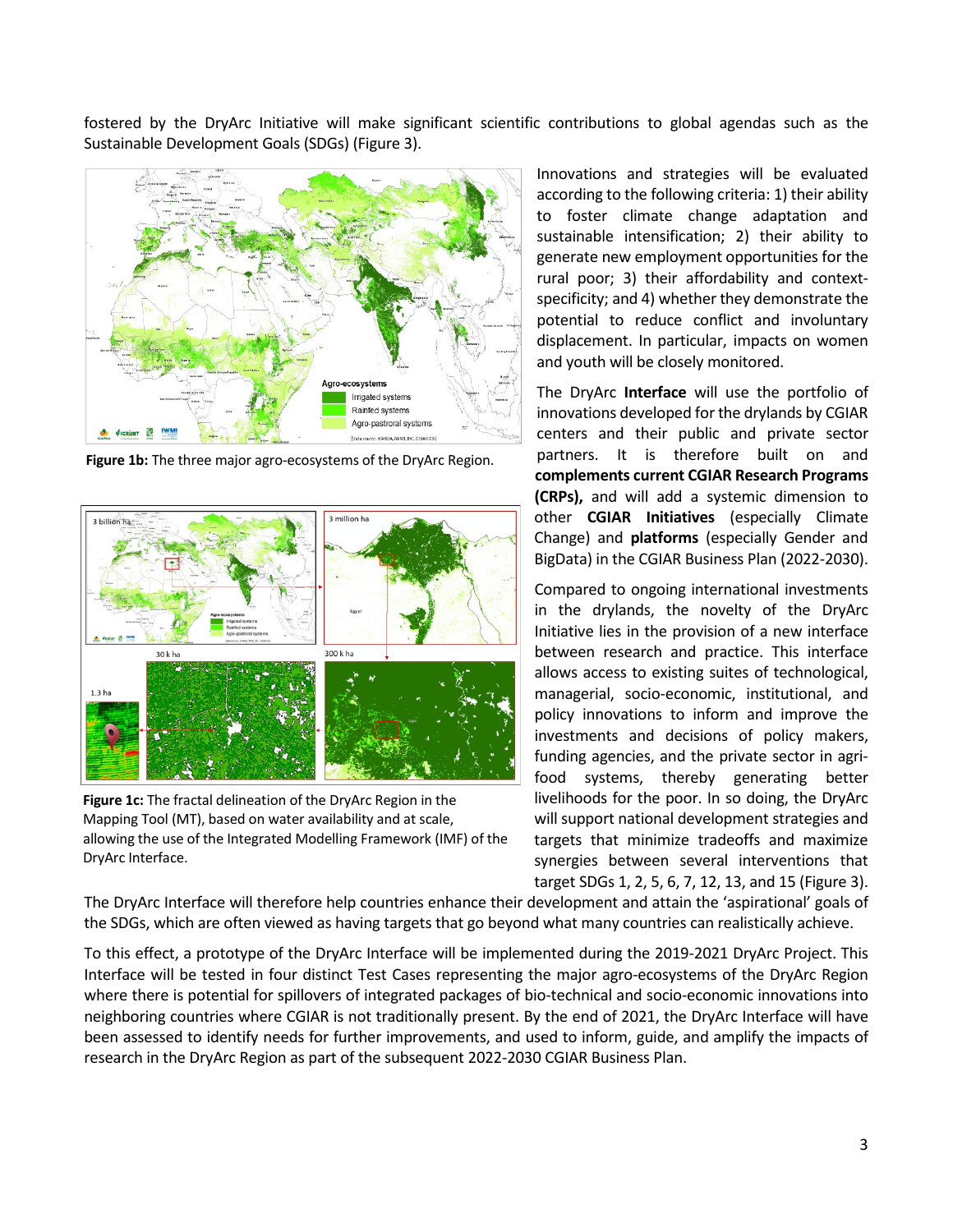fostered by the DryArc Initiative will make significant scientific contributions to global agendas such as the Sustainable Development Goals (SDGs) (Figure 3).



**Figure 1b:** The three major agro-ecosystems of the DryArc Region.



**Figure 1c:** The fractal delineation of the DryArc Region in the Mapping Tool (MT), based on water availability and at scale, allowing the use of the Integrated Modelling Framework (IMF) of the DryArc Interface.

Innovations and strategies will be evaluated according to the following criteria: 1) their ability to foster climate change adaptation and sustainable intensification; 2) their ability to generate new employment opportunities for the rural poor; 3) their affordability and contextspecificity; and 4) whether they demonstrate the potential to reduce conflict and involuntary displacement. In particular, impacts on women and youth will be closely monitored.

The DryArc **Interface** will use the portfolio of innovations developed for the drylands by CGIAR centers and their public and private sector partners. It is therefore built on and **complements current CGIAR Research Programs (CRPs),** and will add a systemic dimension to other **CGIAR Initiatives** (especially Climate Change) and **platforms** (especially Gender and BigData) in the CGIAR Business Plan (2022-2030).

Compared to ongoing international investments in the drylands, the novelty of the DryArc Initiative lies in the provision of a new interface between research and practice. This interface allows access to existing suites of technological, managerial, socio-economic, institutional, and policy innovations to inform and improve the investments and decisions of policy makers, funding agencies, and the private sector in agrifood systems, thereby generating better livelihoods for the poor. In so doing, the DryArc will support national development strategies and targets that minimize tradeoffs and maximize synergies between several interventions that target SDGs 1, 2, 5, 6, 7, 12, 13, and 15 (Figure 3).

The DryArc Interface will therefore help countries enhance their development and attain the 'aspirational' goals of the SDGs, which are often viewed as having targets that go beyond what many countries can realistically achieve.

To this effect, a prototype of the DryArc Interface will be implemented during the 2019-2021 DryArc Project. This Interface will be tested in four distinct Test Cases representing the major agro-ecosystems of the DryArc Region where there is potential for spillovers of integrated packages of bio-technical and socio-economic innovations into neighboring countries where CGIAR is not traditionally present. By the end of 2021, the DryArc Interface will have been assessed to identify needs for further improvements, and used to inform, guide, and amplify the impacts of research in the DryArc Region as part of the subsequent 2022-2030 CGIAR Business Plan.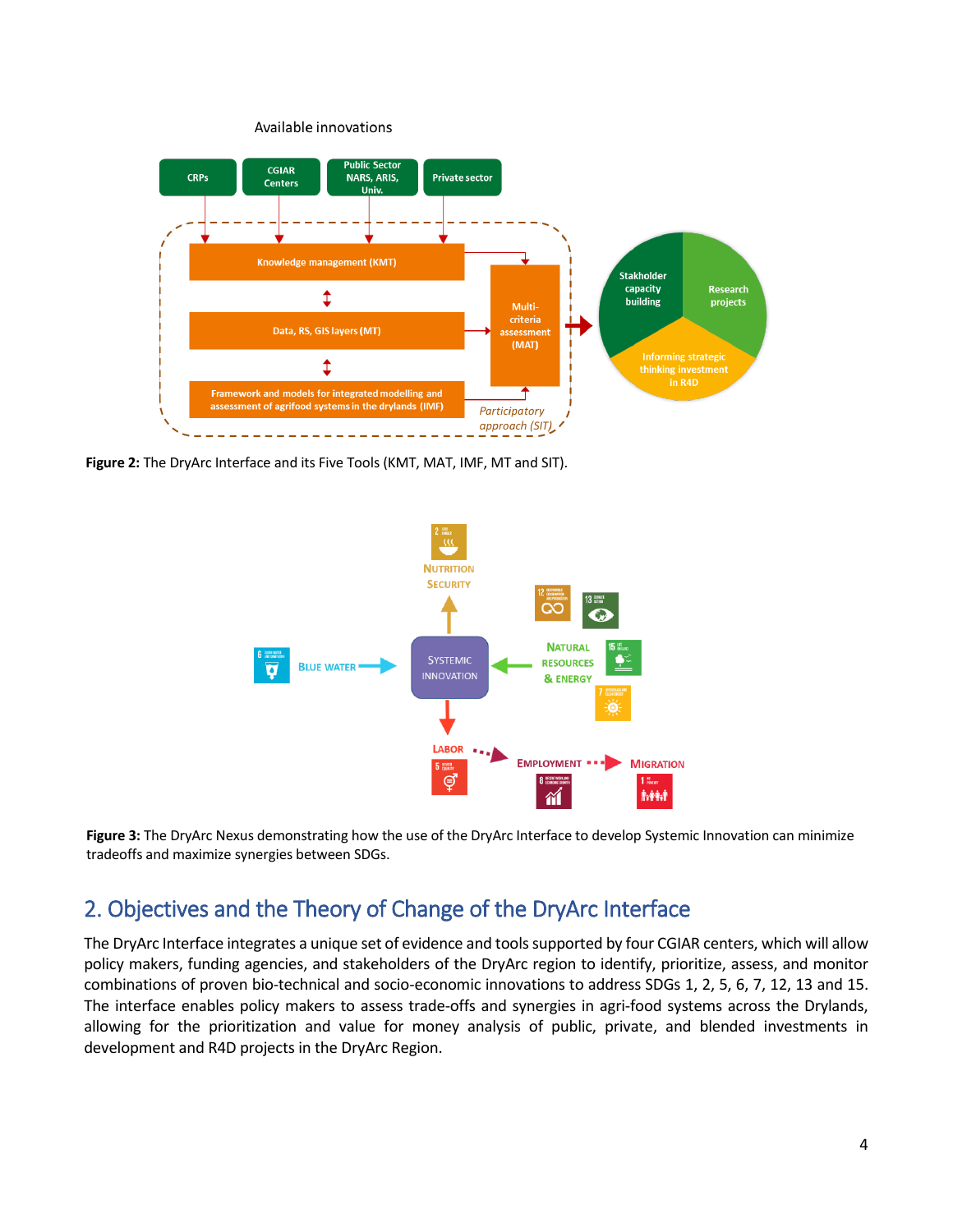

**Figure 2:** The DryArc Interface and its Five Tools (KMT, MAT, IMF, MT and SIT).



**Figure 3:** The DryArc Nexus demonstrating how the use of the DryArc Interface to develop Systemic Innovation can minimize tradeoffs and maximize synergies between SDGs.

### 2. Objectives and the Theory of Change of the DryArc Interface

The DryArc Interface integrates a unique set of evidence and tools supported by four CGIAR centers, which will allow policy makers, funding agencies, and stakeholders of the DryArc region to identify, prioritize, assess, and monitor combinations of proven bio-technical and socio-economic innovations to address SDGs 1, 2, 5, 6, 7, 12, 13 and 15. The interface enables policy makers to assess trade-offs and synergies in agri-food systems across the Drylands, allowing for the prioritization and value for money analysis of public, private, and blended investments in development and R4D projects in the DryArc Region.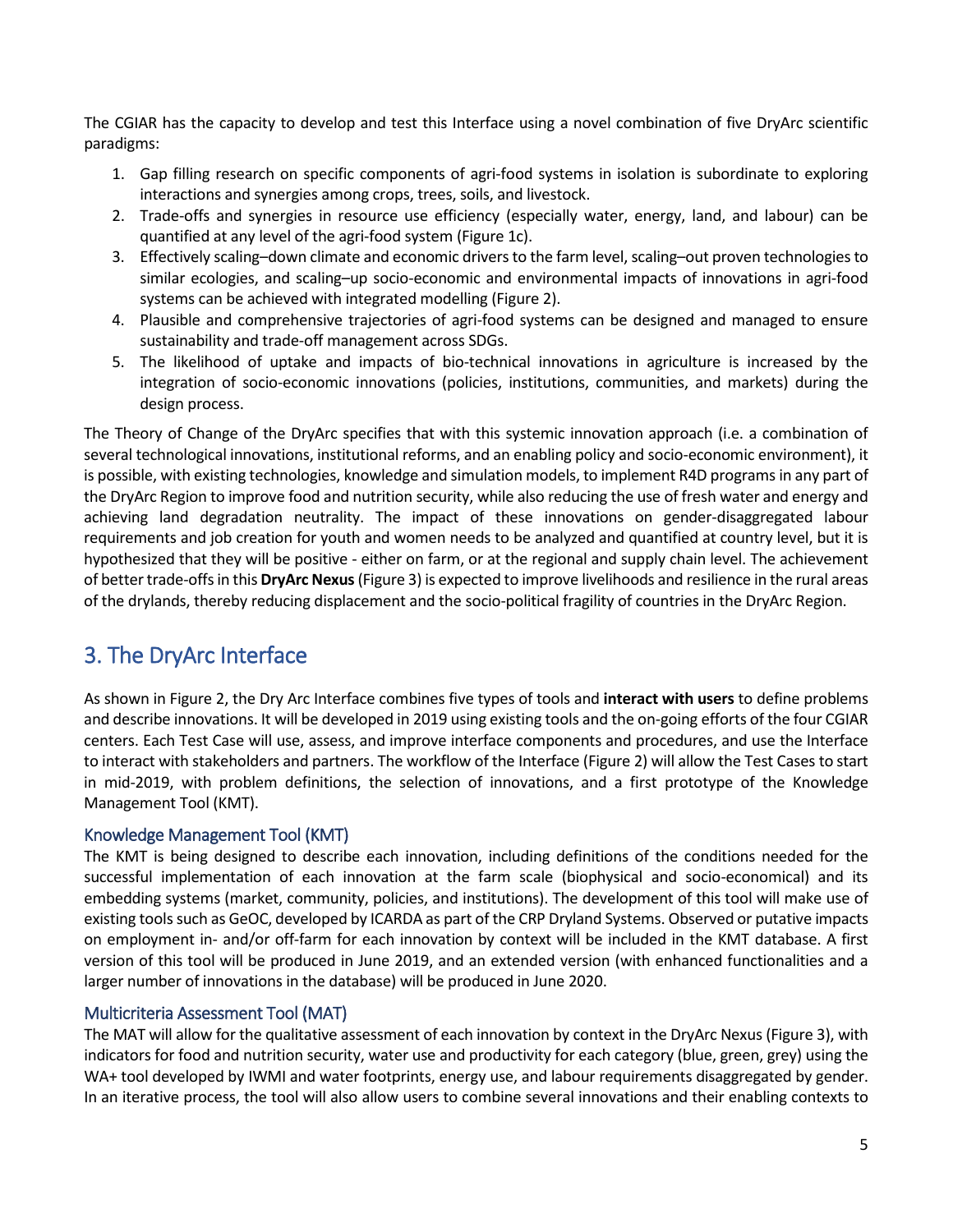The CGIAR has the capacity to develop and test this Interface using a novel combination of five DryArc scientific paradigms:

- 1. Gap filling research on specific components of agri-food systems in isolation is subordinate to exploring interactions and synergies among crops, trees, soils, and livestock.
- 2. Trade-offs and synergies in resource use efficiency (especially water, energy, land, and labour) can be quantified at any level of the agri-food system (Figure 1c).
- 3. Effectively scaling–down climate and economic drivers to the farm level, scaling–out proven technologies to similar ecologies, and scaling–up socio-economic and environmental impacts of innovations in agri-food systems can be achieved with integrated modelling (Figure 2).
- 4. Plausible and comprehensive trajectories of agri-food systems can be designed and managed to ensure sustainability and trade-off management across SDGs.
- 5. The likelihood of uptake and impacts of bio-technical innovations in agriculture is increased by the integration of socio-economic innovations (policies, institutions, communities, and markets) during the design process.

The Theory of Change of the DryArc specifies that with this systemic innovation approach (i.e. a combination of several technological innovations, institutional reforms, and an enabling policy and socio-economic environment), it is possible, with existing technologies, knowledge and simulation models, to implement R4D programs in any part of the DryArc Region to improve food and nutrition security, while also reducing the use of fresh water and energy and achieving land degradation neutrality. The impact of these innovations on gender-disaggregated labour requirements and job creation for youth and women needs to be analyzed and quantified at country level, but it is hypothesized that they will be positive - either on farm, or at the regional and supply chain level. The achievement of better trade-offs in this **DryArc Nexus**(Figure 3) is expected to improve livelihoods and resilience in the rural areas of the drylands, thereby reducing displacement and the socio-political fragility of countries in the DryArc Region.

### 3. The DryArc Interface

As shown in Figure 2, the Dry Arc Interface combines five types of tools and **interact with users** to define problems and describe innovations. It will be developed in 2019 using existing tools and the on-going efforts of the four CGIAR centers. Each Test Case will use, assess, and improve interface components and procedures, and use the Interface to interact with stakeholders and partners. The workflow of the Interface (Figure 2) will allow the Test Cases to start in mid-2019, with problem definitions, the selection of innovations, and a first prototype of the Knowledge Management Tool (KMT).

#### Knowledge Management Tool (KMT)

The KMT is being designed to describe each innovation, including definitions of the conditions needed for the successful implementation of each innovation at the farm scale (biophysical and socio-economical) and its embedding systems (market, community, policies, and institutions). The development of this tool will make use of existing tools such as GeOC, developed by ICARDA as part of the CRP Dryland Systems. Observed or putative impacts on employment in- and/or off-farm for each innovation by context will be included in the KMT database. A first version of this tool will be produced in June 2019, and an extended version (with enhanced functionalities and a larger number of innovations in the database) will be produced in June 2020.

#### Multicriteria Assessment Tool (MAT)

The MAT will allow for the qualitative assessment of each innovation by context in the DryArc Nexus (Figure 3), with indicators for food and nutrition security, water use and productivity for each category (blue, green, grey) using the WA+ tool developed by IWMI and water footprints, energy use, and labour requirements disaggregated by gender. In an iterative process, the tool will also allow users to combine several innovations and their enabling contexts to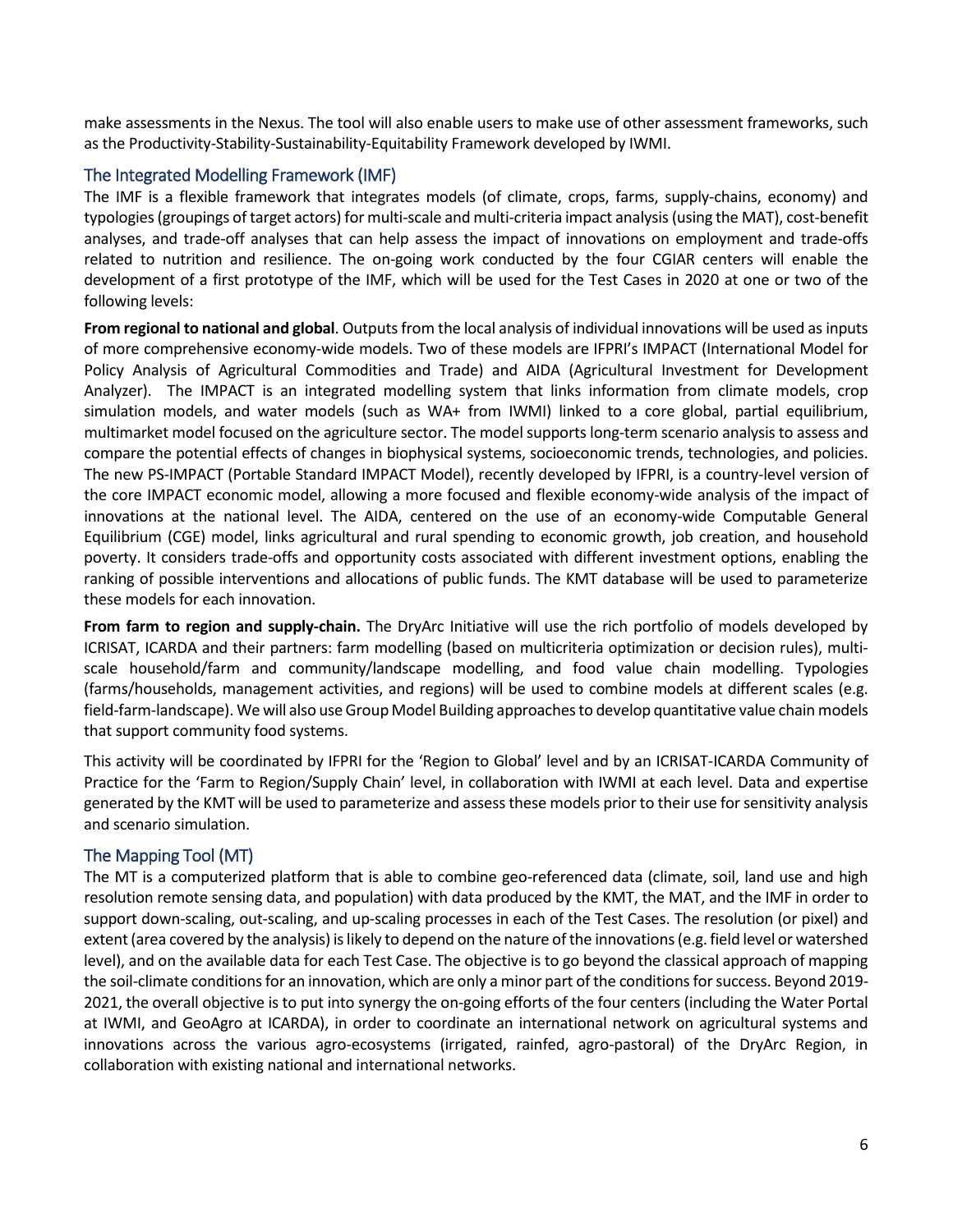make assessments in the Nexus. The tool will also enable users to make use of other assessment frameworks, such as the Productivity-Stability-Sustainability-Equitability Framework developed by IWMI.

#### The Integrated Modelling Framework (IMF)

The IMF is a flexible framework that integrates models (of climate, crops, farms, supply-chains, economy) and typologies(groupings of target actors) for multi-scale and multi-criteria impact analysis(using the MAT), cost-benefit analyses, and trade-off analyses that can help assess the impact of innovations on employment and trade-offs related to nutrition and resilience. The on-going work conducted by the four CGIAR centers will enable the development of a first prototype of the IMF, which will be used for the Test Cases in 2020 at one or two of the following levels:

**From regional to national and global**. Outputs from the local analysis of individual innovations will be used as inputs of more comprehensive economy-wide models. Two of these models are IFPRI's IMPACT (International Model for Policy Analysis of Agricultural Commodities and Trade) and AIDA (Agricultural Investment for Development Analyzer). The IMPACT is an integrated modelling system that links information from climate models, crop simulation models, and water models (such as WA+ from IWMI) linked to a core global, partial equilibrium, multimarket model focused on the agriculture sector. The model supports long-term scenario analysis to assess and compare the potential effects of changes in biophysical systems, socioeconomic trends, technologies, and policies. The new PS-IMPACT (Portable Standard IMPACT Model), recently developed by IFPRI, is a country-level version of the core IMPACT economic model, allowing a more focused and flexible economy-wide analysis of the impact of innovations at the national level. The AIDA, centered on the use of an economy-wide Computable General Equilibrium (CGE) model, links agricultural and rural spending to economic growth, job creation, and household poverty. It considers trade-offs and opportunity costs associated with different investment options, enabling the ranking of possible interventions and allocations of public funds. The KMT database will be used to parameterize these models for each innovation.

**From farm to region and supply-chain.** The DryArc Initiative will use the rich portfolio of models developed by ICRISAT, ICARDA and their partners: farm modelling (based on multicriteria optimization or decision rules), multiscale household/farm and community/landscape modelling, and food value chain modelling. Typologies (farms/households, management activities, and regions) will be used to combine models at different scales (e.g. field-farm-landscape). We will also use Group Model Building approachesto develop quantitative value chain models that support community food systems.

This activity will be coordinated by IFPRI for the 'Region to Global' level and by an ICRISAT-ICARDA Community of Practice for the 'Farm to Region/Supply Chain' level, in collaboration with IWMI at each level. Data and expertise generated by the KMT will be used to parameterize and assess these models prior to their use for sensitivity analysis and scenario simulation.

#### The Mapping Tool (MT)

The MT is a computerized platform that is able to combine geo-referenced data (climate, soil, land use and high resolution remote sensing data, and population) with data produced by the KMT, the MAT, and the IMF in order to support down-scaling, out-scaling, and up-scaling processes in each of the Test Cases. The resolution (or pixel) and extent (area covered by the analysis) is likely to depend on the nature of the innovations(e.g. field level or watershed level), and on the available data for each Test Case. The objective is to go beyond the classical approach of mapping the soil-climate conditions for an innovation, which are only a minor part of the conditions for success. Beyond 2019- 2021, the overall objective is to put into synergy the on-going efforts of the four centers (including the Water Portal at IWMI, and GeoAgro at ICARDA), in order to coordinate an international network on agricultural systems and innovations across the various agro-ecosystems (irrigated, rainfed, agro-pastoral) of the DryArc Region, in collaboration with existing national and international networks.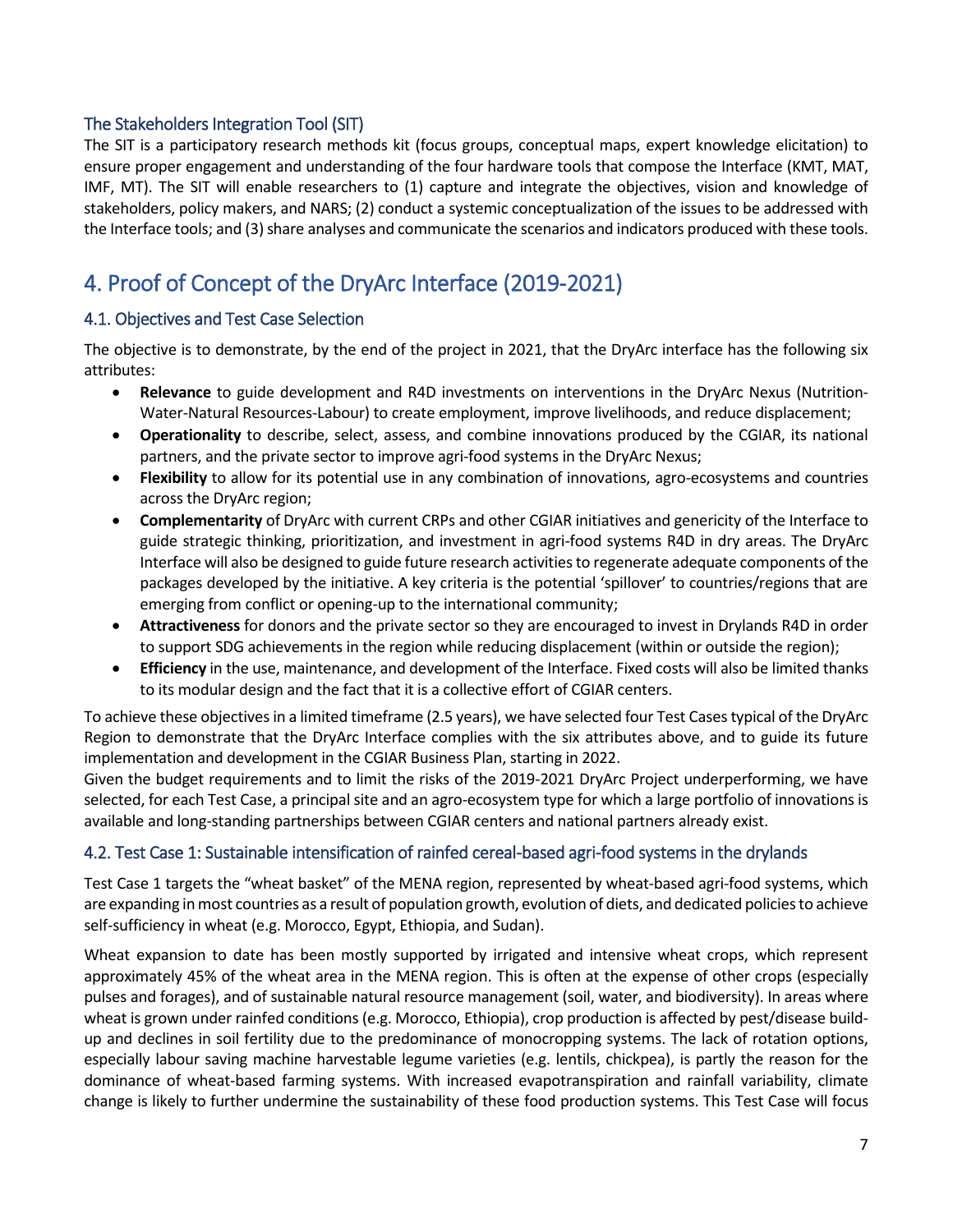#### The Stakeholders Integration Tool (SIT)

The SIT is a participatory research methods kit (focus groups, conceptual maps, expert knowledge elicitation) to ensure proper engagement and understanding of the four hardware tools that compose the Interface (KMT, MAT, IMF, MT). The SIT will enable researchers to (1) capture and integrate the objectives, vision and knowledge of stakeholders, policy makers, and NARS; (2) conduct a systemic conceptualization of the issues to be addressed with the Interface tools; and (3) share analyses and communicate the scenarios and indicators produced with these tools.

## 4. Proof of Concept of the DryArc Interface (2019-2021)

#### 4.1. Objectives and Test Case Selection

The objective is to demonstrate, by the end of the project in 2021, that the DryArc interface has the following six attributes:

- **Relevance** to guide development and R4D investments on interventions in the DryArc Nexus (Nutrition-Water-Natural Resources-Labour) to create employment, improve livelihoods, and reduce displacement;
- **Operationality** to describe, select, assess, and combine innovations produced by the CGIAR, its national partners, and the private sector to improve agri-food systems in the DryArc Nexus;
- **Flexibility** to allow for its potential use in any combination of innovations, agro-ecosystems and countries across the DryArc region;
- **Complementarity** of DryArc with current CRPs and other CGIAR initiatives and genericity of the Interface to guide strategic thinking, prioritization, and investment in agri-food systems R4D in dry areas. The DryArc Interface will also be designed to guide future research activities to regenerate adequate components of the packages developed by the initiative. A key criteria is the potential 'spillover' to countries/regions that are emerging from conflict or opening-up to the international community;
- **Attractiveness** for donors and the private sector so they are encouraged to invest in Drylands R4D in order to support SDG achievements in the region while reducing displacement (within or outside the region);
- **Efficiency** in the use, maintenance, and development of the Interface. Fixed costs will also be limited thanks to its modular design and the fact that it is a collective effort of CGIAR centers.

To achieve these objectives in a limited timeframe (2.5 years), we have selected four Test Casestypical of the DryArc Region to demonstrate that the DryArc Interface complies with the six attributes above, and to guide its future implementation and development in the CGIAR Business Plan, starting in 2022.

Given the budget requirements and to limit the risks of the 2019-2021 DryArc Project underperforming, we have selected, for each Test Case, a principal site and an agro-ecosystem type for which a large portfolio of innovations is available and long-standing partnerships between CGIAR centers and national partners already exist.

#### 4.2. Test Case 1: Sustainable intensification of rainfed cereal-based agri-food systems in the drylands

Test Case 1 targets the "wheat basket" of the MENA region, represented by wheat-based agri-food systems, which are expanding in most countries as a result of population growth, evolution of diets, and dedicated policies to achieve self-sufficiency in wheat (e.g. Morocco, Egypt, Ethiopia, and Sudan).

Wheat expansion to date has been mostly supported by irrigated and intensive wheat crops, which represent approximately 45% of the wheat area in the MENA region. This is often at the expense of other crops (especially pulses and forages), and of sustainable natural resource management (soil, water, and biodiversity). In areas where wheat is grown under rainfed conditions (e.g. Morocco, Ethiopia), crop production is affected by pest/disease buildup and declines in soil fertility due to the predominance of monocropping systems. The lack of rotation options, especially labour saving machine harvestable legume varieties (e.g. lentils, chickpea), is partly the reason for the dominance of wheat-based farming systems. With increased evapotranspiration and rainfall variability, climate change is likely to further undermine the sustainability of these food production systems. This Test Case will focus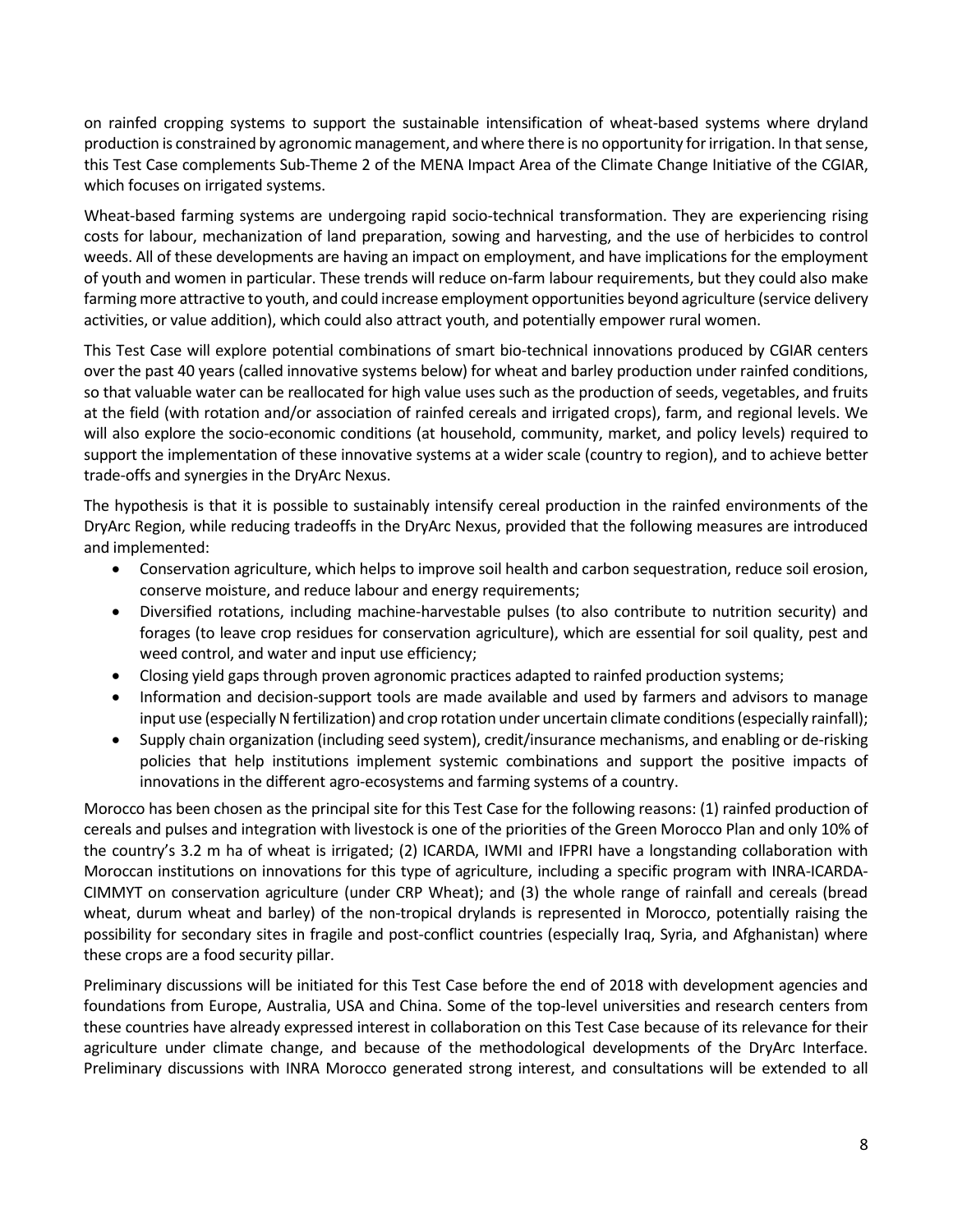on rainfed cropping systems to support the sustainable intensification of wheat-based systems where dryland production is constrained by agronomic management, and where there is no opportunity for irrigation. In that sense, this Test Case complements Sub-Theme 2 of the MENA Impact Area of the Climate Change Initiative of the CGIAR, which focuses on irrigated systems.

Wheat-based farming systems are undergoing rapid socio-technical transformation. They are experiencing rising costs for labour, mechanization of land preparation, sowing and harvesting, and the use of herbicides to control weeds. All of these developments are having an impact on employment, and have implications for the employment of youth and women in particular. These trends will reduce on-farm labour requirements, but they could also make farming more attractive to youth, and could increase employment opportunities beyond agriculture (service delivery activities, or value addition), which could also attract youth, and potentially empower rural women.

This Test Case will explore potential combinations of smart bio-technical innovations produced by CGIAR centers over the past 40 years (called innovative systems below) for wheat and barley production under rainfed conditions, so that valuable water can be reallocated for high value uses such as the production of seeds, vegetables, and fruits at the field (with rotation and/or association of rainfed cereals and irrigated crops), farm, and regional levels. We will also explore the socio-economic conditions (at household, community, market, and policy levels) required to support the implementation of these innovative systems at a wider scale (country to region), and to achieve better trade-offs and synergies in the DryArc Nexus.

The hypothesis is that it is possible to sustainably intensify cereal production in the rainfed environments of the DryArc Region, while reducing tradeoffs in the DryArc Nexus, provided that the following measures are introduced and implemented:

- Conservation agriculture, which helps to improve soil health and carbon sequestration, reduce soil erosion, conserve moisture, and reduce labour and energy requirements;
- Diversified rotations, including machine-harvestable pulses (to also contribute to nutrition security) and forages (to leave crop residues for conservation agriculture), which are essential for soil quality, pest and weed control, and water and input use efficiency;
- Closing yield gaps through proven agronomic practices adapted to rainfed production systems;
- Information and decision-support tools are made available and used by farmers and advisors to manage input use (especially N fertilization) and crop rotation under uncertain climate conditions (especially rainfall);
- Supply chain organization (including seed system), credit/insurance mechanisms, and enabling or de-risking policies that help institutions implement systemic combinations and support the positive impacts of innovations in the different agro-ecosystems and farming systems of a country.

Morocco has been chosen as the principal site for this Test Case for the following reasons: (1) rainfed production of cereals and pulses and integration with livestock is one of the priorities of the Green Morocco Plan and only 10% of the country's 3.2 m ha of wheat is irrigated; (2) ICARDA, IWMI and IFPRI have a longstanding collaboration with Moroccan institutions on innovations for this type of agriculture, including a specific program with INRA-ICARDA-CIMMYT on conservation agriculture (under CRP Wheat); and (3) the whole range of rainfall and cereals (bread wheat, durum wheat and barley) of the non-tropical drylands is represented in Morocco, potentially raising the possibility for secondary sites in fragile and post-conflict countries (especially Iraq, Syria, and Afghanistan) where these crops are a food security pillar.

Preliminary discussions will be initiated for this Test Case before the end of 2018 with development agencies and foundations from Europe, Australia, USA and China. Some of the top-level universities and research centers from these countries have already expressed interest in collaboration on this Test Case because of its relevance for their agriculture under climate change, and because of the methodological developments of the DryArc Interface. Preliminary discussions with INRA Morocco generated strong interest, and consultations will be extended to all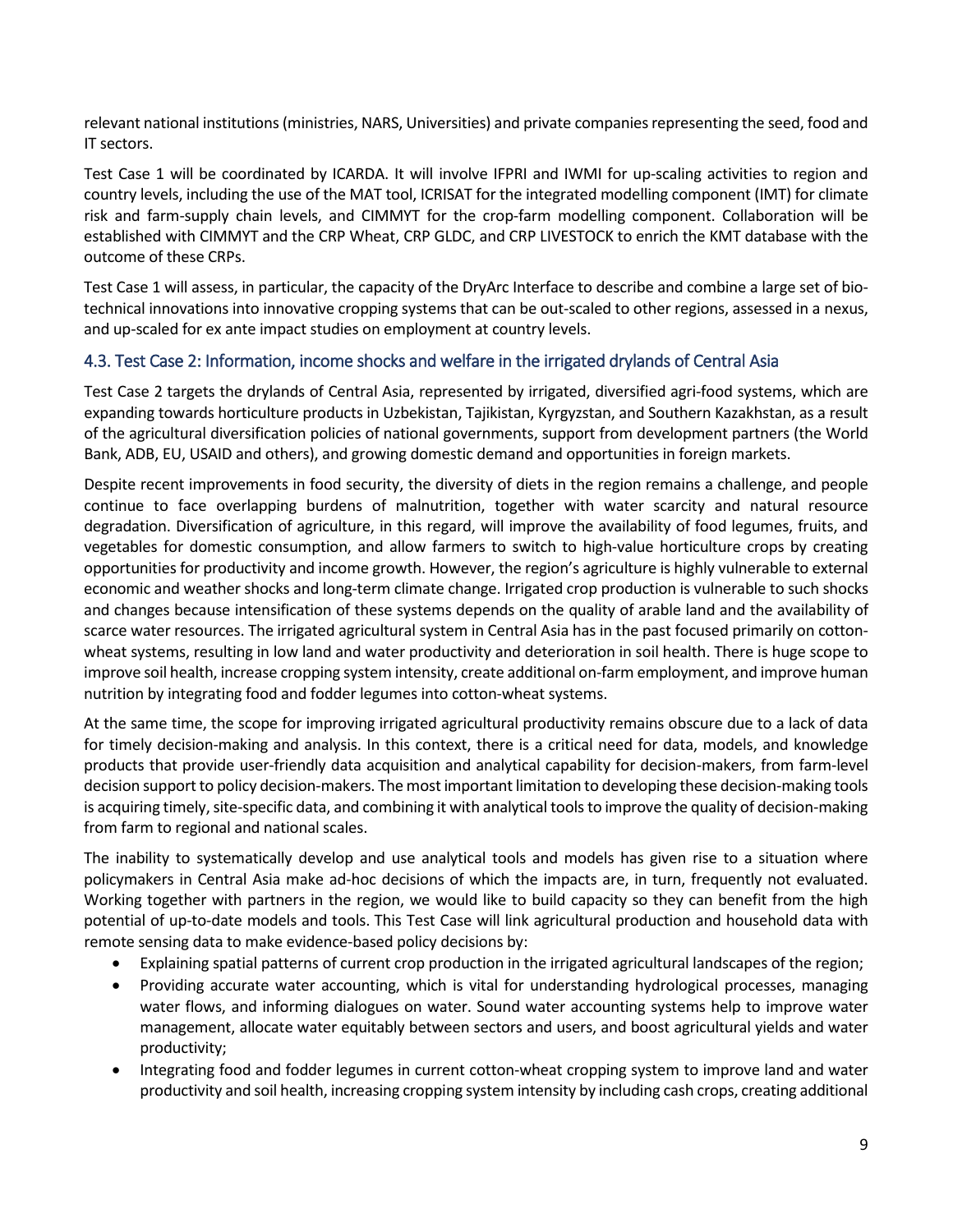relevant national institutions (ministries, NARS, Universities) and private companies representing the seed, food and IT sectors.

Test Case 1 will be coordinated by ICARDA. It will involve IFPRI and IWMI for up-scaling activities to region and country levels, including the use of the MAT tool, ICRISAT for the integrated modelling component (IMT) for climate risk and farm-supply chain levels, and CIMMYT for the crop-farm modelling component. Collaboration will be established with CIMMYT and the CRP Wheat, CRP GLDC, and CRP LIVESTOCK to enrich the KMT database with the outcome of these CRPs.

Test Case 1 will assess, in particular, the capacity of the DryArc Interface to describe and combine a large set of biotechnical innovations into innovative cropping systems that can be out-scaled to other regions, assessed in a nexus, and up-scaled for ex ante impact studies on employment at country levels.

#### 4.3. Test Case 2: Information, income shocks and welfare in the irrigated drylands of Central Asia

Test Case 2 targets the drylands of Central Asia, represented by irrigated, diversified agri-food systems, which are expanding towards horticulture products in Uzbekistan, Tajikistan, Kyrgyzstan, and Southern Kazakhstan, as a result of the agricultural diversification policies of national governments, support from development partners (the World Bank, ADB, EU, USAID and others), and growing domestic demand and opportunities in foreign markets.

Despite recent improvements in food security, the diversity of diets in the region remains a challenge, and people continue to face overlapping burdens of malnutrition, together with water scarcity and natural resource degradation. Diversification of agriculture, in this regard, will improve the availability of food legumes, fruits, and vegetables for domestic consumption, and allow farmers to switch to high-value horticulture crops by creating opportunities for productivity and income growth. However, the region's agriculture is highly vulnerable to external economic and weather shocks and long-term climate change. Irrigated crop production is vulnerable to such shocks and changes because intensification of these systems depends on the quality of arable land and the availability of scarce water resources. The irrigated agricultural system in Central Asia has in the past focused primarily on cottonwheat systems, resulting in low land and water productivity and deterioration in soil health. There is huge scope to improve soil health, increase cropping system intensity, create additional on-farm employment, and improve human nutrition by integrating food and fodder legumes into cotton-wheat systems.

At the same time, the scope for improving irrigated agricultural productivity remains obscure due to a lack of data for timely decision-making and analysis. In this context, there is a critical need for data, models, and knowledge products that provide user-friendly data acquisition and analytical capability for decision-makers, from farm-level decision support to policy decision-makers. The most important limitation to developing these decision-making tools is acquiring timely, site-specific data, and combining it with analytical tools to improve the quality of decision-making from farm to regional and national scales.

The inability to systematically develop and use analytical tools and models has given rise to a situation where policymakers in Central Asia make ad-hoc decisions of which the impacts are, in turn, frequently not evaluated. Working together with partners in the region, we would like to build capacity so they can benefit from the high potential of up-to-date models and tools. This Test Case will link agricultural production and household data with remote sensing data to make evidence-based policy decisions by:

- Explaining spatial patterns of current crop production in the irrigated agricultural landscapes of the region;
- Providing accurate water accounting, which is vital for understanding hydrological processes, managing water flows, and informing dialogues on water. Sound water accounting systems help to improve water management, allocate water equitably between sectors and users, and boost agricultural yields and water productivity;
- Integrating food and fodder legumes in current cotton-wheat cropping system to improve land and water productivity and soil health, increasing cropping system intensity by including cash crops, creating additional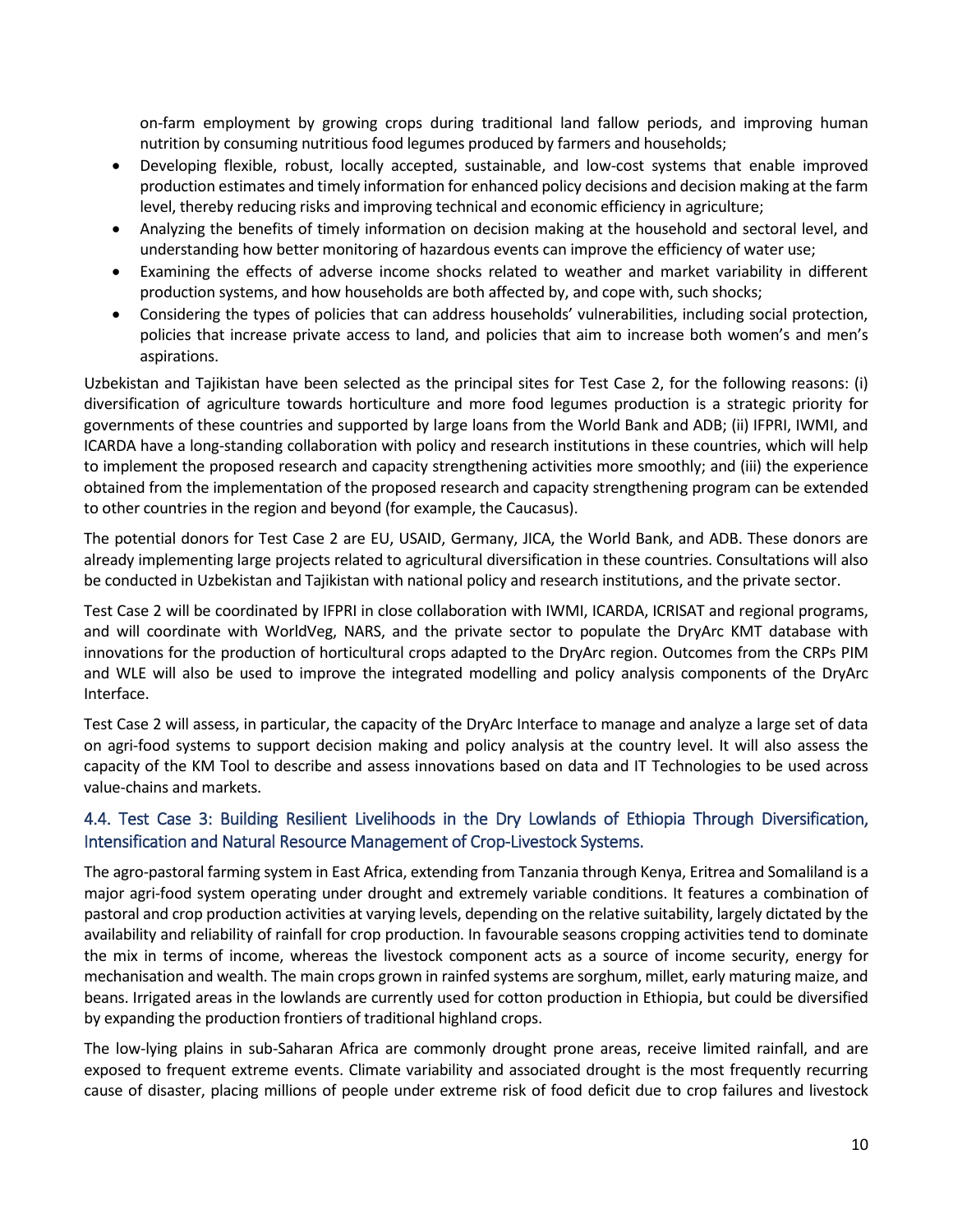on-farm employment by growing crops during traditional land fallow periods, and improving human nutrition by consuming nutritious food legumes produced by farmers and households;

- Developing flexible, robust, locally accepted, sustainable, and low-cost systems that enable improved production estimates and timely information for enhanced policy decisions and decision making at the farm level, thereby reducing risks and improving technical and economic efficiency in agriculture;
- Analyzing the benefits of timely information on decision making at the household and sectoral level, and understanding how better monitoring of hazardous events can improve the efficiency of water use;
- Examining the effects of adverse income shocks related to weather and market variability in different production systems, and how households are both affected by, and cope with, such shocks;
- Considering the types of policies that can address households' vulnerabilities, including social protection, policies that increase private access to land, and policies that aim to increase both women's and men's aspirations.

Uzbekistan and Tajikistan have been selected as the principal sites for Test Case 2, for the following reasons: (i) diversification of agriculture towards horticulture and more food legumes production is a strategic priority for governments of these countries and supported by large loans from the World Bank and ADB; (ii) IFPRI, IWMI, and ICARDA have a long-standing collaboration with policy and research institutions in these countries, which will help to implement the proposed research and capacity strengthening activities more smoothly; and (iii) the experience obtained from the implementation of the proposed research and capacity strengthening program can be extended to other countries in the region and beyond (for example, the Caucasus).

The potential donors for Test Case 2 are EU, USAID, Germany, JICA, the World Bank, and ADB. These donors are already implementing large projects related to agricultural diversification in these countries. Consultations will also be conducted in Uzbekistan and Tajikistan with national policy and research institutions, and the private sector.

Test Case 2 will be coordinated by IFPRI in close collaboration with IWMI, ICARDA, ICRISAT and regional programs, and will coordinate with WorldVeg, NARS, and the private sector to populate the DryArc KMT database with innovations for the production of horticultural crops adapted to the DryArc region. Outcomes from the CRPs PIM and WLE will also be used to improve the integrated modelling and policy analysis components of the DryArc Interface.

Test Case 2 will assess, in particular, the capacity of the DryArc Interface to manage and analyze a large set of data on agri-food systems to support decision making and policy analysis at the country level. It will also assess the capacity of the KM Tool to describe and assess innovations based on data and IT Technologies to be used across value-chains and markets.

#### 4.4. Test Case 3: Building Resilient Livelihoods in the Dry Lowlands of Ethiopia Through Diversification, Intensification and Natural Resource Management of Crop-Livestock Systems.

The agro-pastoral farming system in East Africa, extending from Tanzania through Kenya, Eritrea and Somaliland is a major agri-food system operating under drought and extremely variable conditions. It features a combination of pastoral and crop production activities at varying levels, depending on the relative suitability, largely dictated by the availability and reliability of rainfall for crop production. In favourable seasons cropping activities tend to dominate the mix in terms of income, whereas the livestock component acts as a source of income security, energy for mechanisation and wealth. The main crops grown in rainfed systems are sorghum, millet, early maturing maize, and beans. Irrigated areas in the lowlands are currently used for cotton production in Ethiopia, but could be diversified by expanding the production frontiers of traditional highland crops.

The low-lying plains in sub-Saharan Africa are commonly drought prone areas, receive limited rainfall, and are exposed to frequent extreme events. Climate variability and associated drought is the most frequently recurring cause of disaster, placing millions of people under extreme risk of food deficit due to crop failures and livestock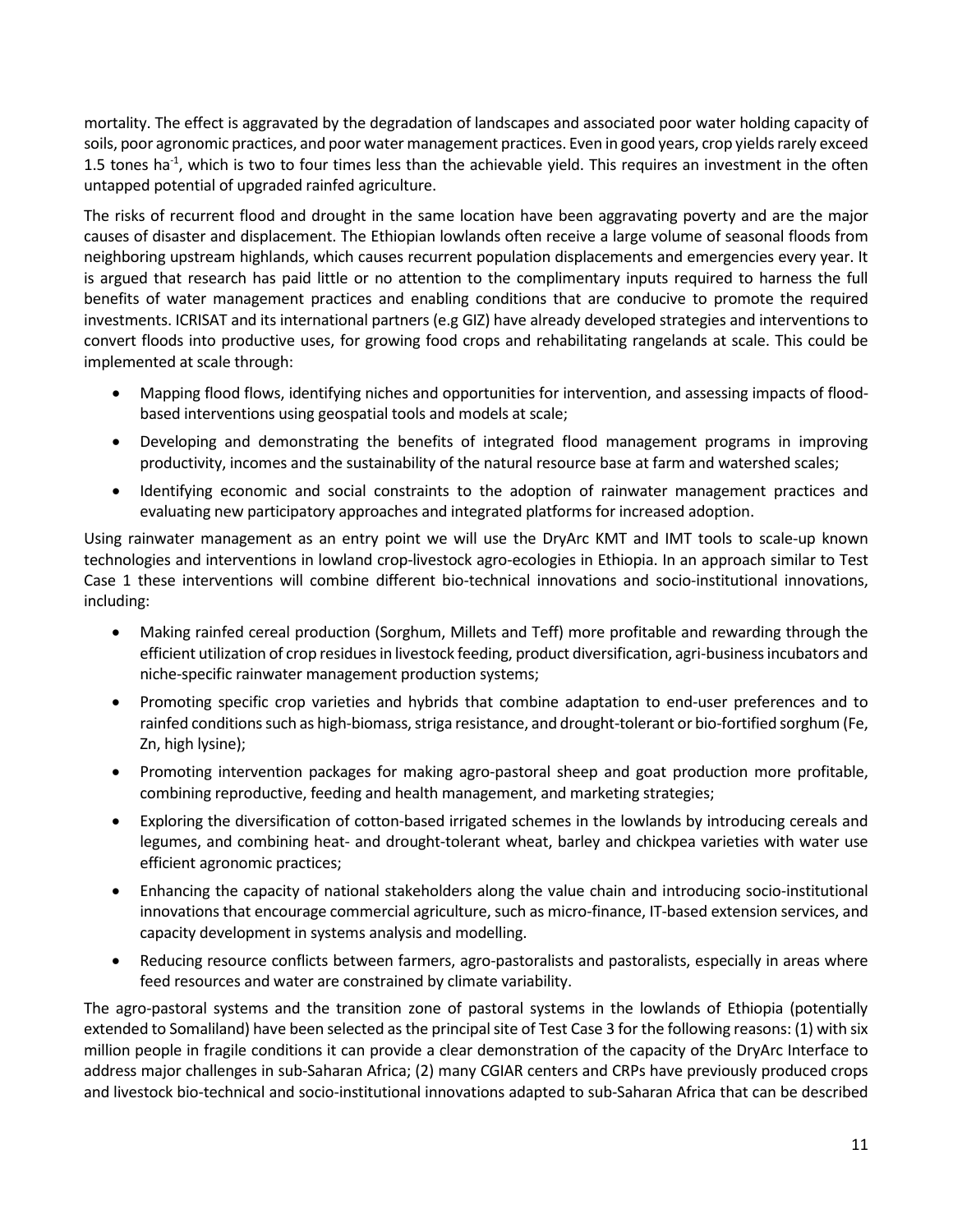mortality. The effect is aggravated by the degradation of landscapes and associated poor water holding capacity of soils, poor agronomic practices, and poor water management practices. Even in good years, crop yields rarely exceed 1.5 tones ha $^{-1}$ , which is two to four times less than the achievable yield. This requires an investment in the often untapped potential of upgraded rainfed agriculture.

The risks of recurrent flood and drought in the same location have been aggravating poverty and are the major causes of disaster and displacement. The Ethiopian lowlands often receive a large volume of seasonal floods from neighboring upstream highlands, which causes recurrent population displacements and emergencies every year. It is argued that research has paid little or no attention to the complimentary inputs required to harness the full benefits of water management practices and enabling conditions that are conducive to promote the required investments. ICRISAT and its international partners (e.g GIZ) have already developed strategies and interventions to convert floods into productive uses, for growing food crops and rehabilitating rangelands at scale. This could be implemented at scale through:

- Mapping flood flows, identifying niches and opportunities for intervention, and assessing impacts of floodbased interventions using geospatial tools and models at scale;
- Developing and demonstrating the benefits of integrated flood management programs in improving productivity, incomes and the sustainability of the natural resource base at farm and watershed scales;
- Identifying economic and social constraints to the adoption of rainwater management practices and evaluating new participatory approaches and integrated platforms for increased adoption.

Using rainwater management as an entry point we will use the DryArc KMT and IMT tools to scale-up known technologies and interventions in lowland crop-livestock agro-ecologies in Ethiopia. In an approach similar to Test Case 1 these interventions will combine different bio-technical innovations and socio-institutional innovations, including:

- Making rainfed cereal production (Sorghum, Millets and Teff) more profitable and rewarding through the efficient utilization of crop residues in livestock feeding, product diversification, agri-business incubators and niche-specific rainwater management production systems;
- Promoting specific crop varieties and hybrids that combine adaptation to end-user preferences and to rainfed conditions such as high-biomass, striga resistance, and drought-tolerant or bio-fortified sorghum (Fe, Zn, high lysine);
- Promoting intervention packages for making agro-pastoral sheep and goat production more profitable, combining reproductive, feeding and health management, and marketing strategies;
- Exploring the diversification of cotton-based irrigated schemes in the lowlands by introducing cereals and legumes, and combining heat- and drought-tolerant wheat, barley and chickpea varieties with water use efficient agronomic practices;
- Enhancing the capacity of national stakeholders along the value chain and introducing socio-institutional innovations that encourage commercial agriculture, such as micro-finance, IT-based extension services, and capacity development in systems analysis and modelling.
- Reducing resource conflicts between farmers, agro-pastoralists and pastoralists, especially in areas where feed resources and water are constrained by climate variability.

The agro-pastoral systems and the transition zone of pastoral systems in the lowlands of Ethiopia (potentially extended to Somaliland) have been selected as the principal site of Test Case 3 for the following reasons: (1) with six million people in fragile conditions it can provide a clear demonstration of the capacity of the DryArc Interface to address major challenges in sub-Saharan Africa; (2) many CGIAR centers and CRPs have previously produced crops and livestock bio-technical and socio-institutional innovations adapted to sub-Saharan Africa that can be described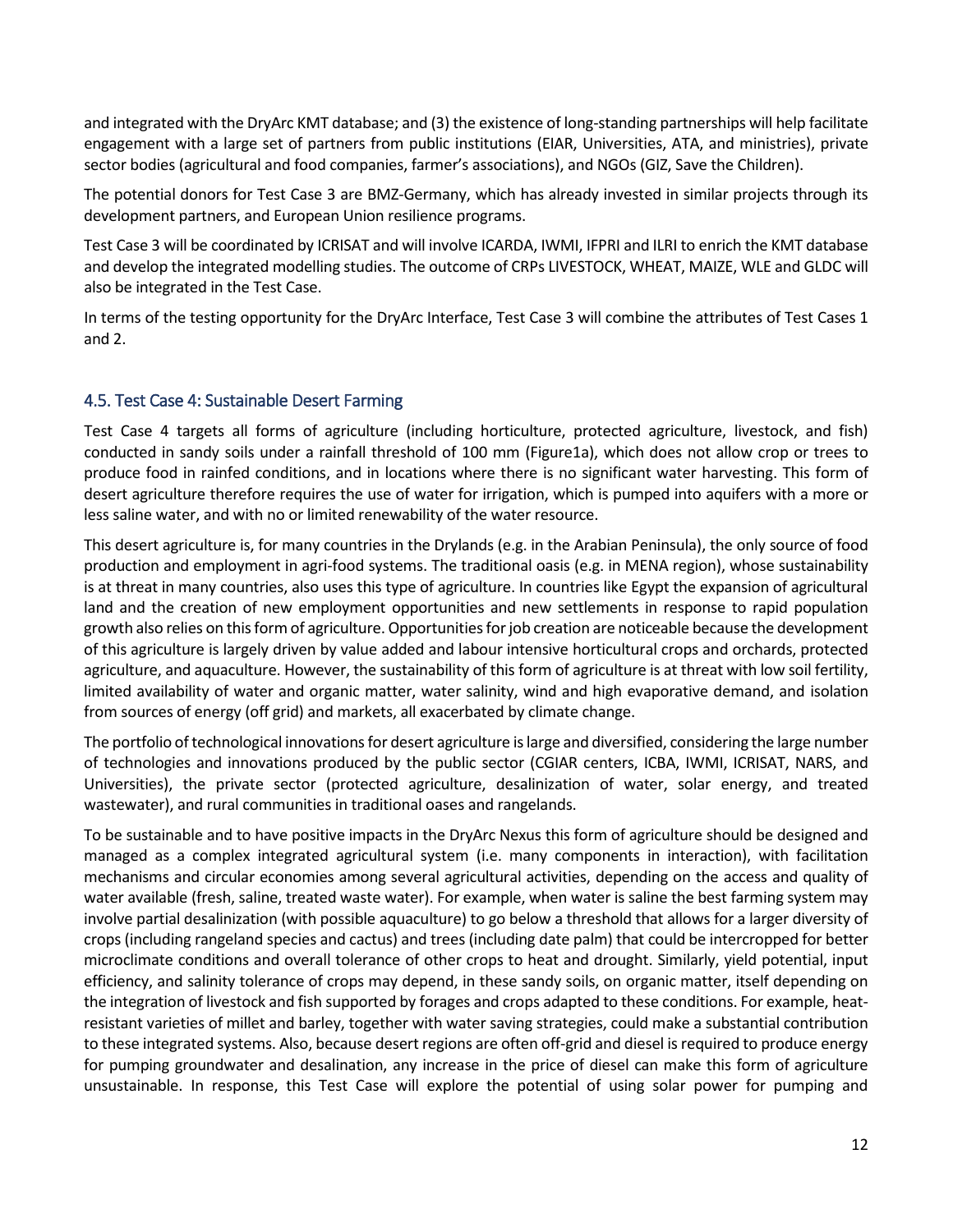and integrated with the DryArc KMT database; and (3) the existence of long-standing partnerships will help facilitate engagement with a large set of partners from public institutions (EIAR, Universities, ATA, and ministries), private sector bodies (agricultural and food companies, farmer's associations), and NGOs (GIZ, Save the Children).

The potential donors for Test Case 3 are BMZ-Germany, which has already invested in similar projects through its development partners, and European Union resilience programs.

Test Case 3 will be coordinated by ICRISAT and will involve ICARDA, IWMI, IFPRI and ILRI to enrich the KMT database and develop the integrated modelling studies. The outcome of CRPs LIVESTOCK, WHEAT, MAIZE, WLE and GLDC will also be integrated in the Test Case.

In terms of the testing opportunity for the DryArc Interface, Test Case 3 will combine the attributes of Test Cases 1 and 2.

#### 4.5. Test Case 4: Sustainable Desert Farming

Test Case 4 targets all forms of agriculture (including horticulture, protected agriculture, livestock, and fish) conducted in sandy soils under a rainfall threshold of 100 mm (Figure1a), which does not allow crop or trees to produce food in rainfed conditions, and in locations where there is no significant water harvesting. This form of desert agriculture therefore requires the use of water for irrigation, which is pumped into aquifers with a more or less saline water, and with no or limited renewability of the water resource.

This desert agriculture is, for many countries in the Drylands (e.g. in the Arabian Peninsula), the only source of food production and employment in agri-food systems. The traditional oasis (e.g. in MENA region), whose sustainability is at threat in many countries, also uses this type of agriculture. In countries like Egypt the expansion of agricultural land and the creation of new employment opportunities and new settlements in response to rapid population growth also relies on this form of agriculture. Opportunities for job creation are noticeable because the development of this agriculture is largely driven by value added and labour intensive horticultural crops and orchards, protected agriculture, and aquaculture. However, the sustainability of this form of agriculture is at threat with low soil fertility, limited availability of water and organic matter, water salinity, wind and high evaporative demand, and isolation from sources of energy (off grid) and markets, all exacerbated by climate change.

The portfolio of technological innovations for desert agriculture is large and diversified, considering the large number of technologies and innovations produced by the public sector (CGIAR centers, ICBA, IWMI, ICRISAT, NARS, and Universities), the private sector (protected agriculture, desalinization of water, solar energy, and treated wastewater), and rural communities in traditional oases and rangelands.

To be sustainable and to have positive impacts in the DryArc Nexus this form of agriculture should be designed and managed as a complex integrated agricultural system (i.e. many components in interaction), with facilitation mechanisms and circular economies among several agricultural activities, depending on the access and quality of water available (fresh, saline, treated waste water). For example, when water is saline the best farming system may involve partial desalinization (with possible aquaculture) to go below a threshold that allows for a larger diversity of crops (including rangeland species and cactus) and trees (including date palm) that could be intercropped for better microclimate conditions and overall tolerance of other crops to heat and drought. Similarly, yield potential, input efficiency, and salinity tolerance of crops may depend, in these sandy soils, on organic matter, itself depending on the integration of livestock and fish supported by forages and crops adapted to these conditions. For example, heatresistant varieties of millet and barley, together with water saving strategies, could make a substantial contribution to these integrated systems. Also, because desert regions are often off-grid and diesel is required to produce energy for pumping groundwater and desalination, any increase in the price of diesel can make this form of agriculture unsustainable. In response, this Test Case will explore the potential of using solar power for pumping and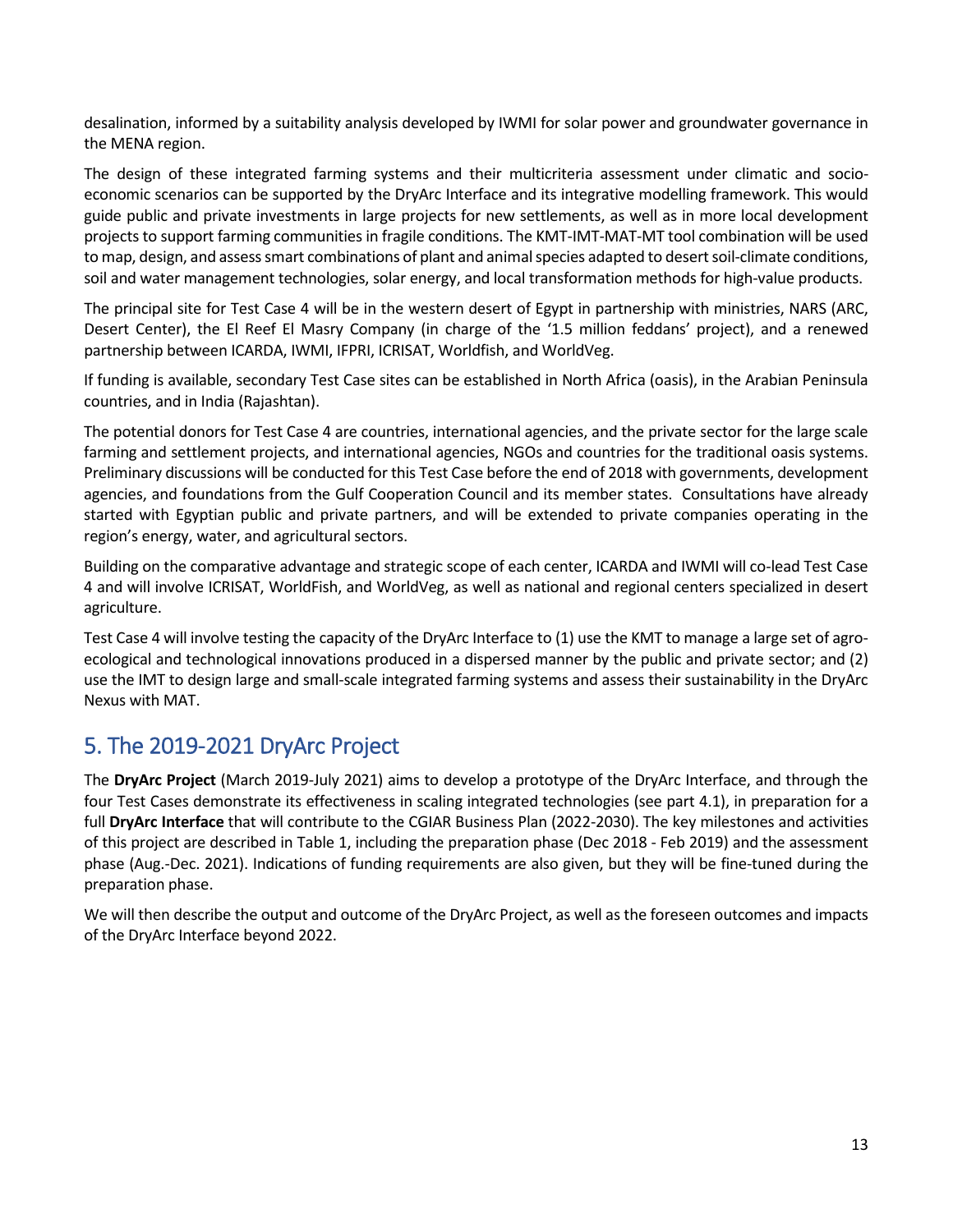desalination, informed by a suitability analysis developed by IWMI for solar power and groundwater governance in the MENA region.

The design of these integrated farming systems and their multicriteria assessment under climatic and socioeconomic scenarios can be supported by the DryArc Interface and its integrative modelling framework. This would guide public and private investments in large projects for new settlements, as well as in more local development projects to support farming communities in fragile conditions. The KMT-IMT-MAT-MT tool combination will be used to map, design, and assess smart combinations of plant and animal species adapted to desert soil-climate conditions, soil and water management technologies, solar energy, and local transformation methods for high-value products.

The principal site for Test Case 4 will be in the western desert of Egypt in partnership with ministries, NARS (ARC, Desert Center), the El Reef El Masry Company (in charge of the '1.5 million feddans' project), and a renewed partnership between ICARDA, IWMI, IFPRI, ICRISAT, Worldfish, and WorldVeg.

If funding is available, secondary Test Case sites can be established in North Africa (oasis), in the Arabian Peninsula countries, and in India (Rajashtan).

The potential donors for Test Case 4 are countries, international agencies, and the private sector for the large scale farming and settlement projects, and international agencies, NGOs and countries for the traditional oasis systems. Preliminary discussions will be conducted for this Test Case before the end of 2018 with governments, development agencies, and foundations from the Gulf Cooperation Council and its member states. Consultations have already started with Egyptian public and private partners, and will be extended to private companies operating in the region's energy, water, and agricultural sectors.

Building on the comparative advantage and strategic scope of each center, ICARDA and IWMI will co-lead Test Case 4 and will involve ICRISAT, WorldFish, and WorldVeg, as well as national and regional centers specialized in desert agriculture.

Test Case 4 will involve testing the capacity of the DryArc Interface to (1) use the KMT to manage a large set of agroecological and technological innovations produced in a dispersed manner by the public and private sector; and (2) use the IMT to design large and small-scale integrated farming systems and assess their sustainability in the DryArc Nexus with MAT.

### 5. The 2019-2021 DryArc Project

The **DryArc Project** (March 2019-July 2021) aims to develop a prototype of the DryArc Interface, and through the four Test Cases demonstrate its effectiveness in scaling integrated technologies (see part 4.1), in preparation for a full **DryArc Interface** that will contribute to the CGIAR Business Plan (2022-2030). The key milestones and activities of this project are described in Table 1, including the preparation phase (Dec 2018 - Feb 2019) and the assessment phase (Aug.-Dec. 2021). Indications of funding requirements are also given, but they will be fine-tuned during the preparation phase.

We will then describe the output and outcome of the DryArc Project, as well as the foreseen outcomes and impacts of the DryArc Interface beyond 2022.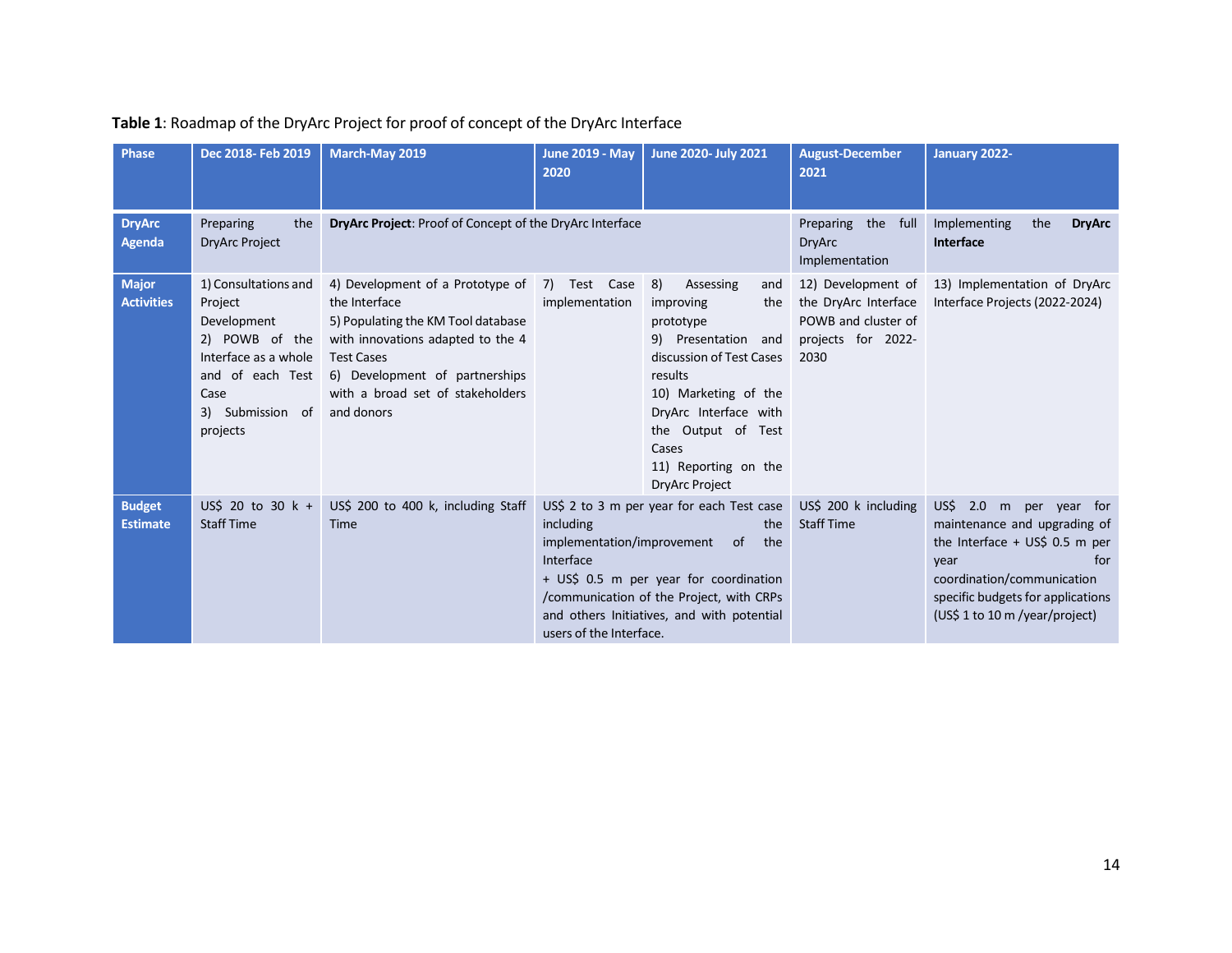| <b>Phase</b>                      | Dec 2018- Feb 2019                                                                                                                                   | March-May 2019                                                                                                                                                                                                                        | <b>June 2019 - May</b><br>2020                                                                                                                                                                                                                                                       | June 2020- July 2021                                                                                                                                                                                                                                   | <b>August-December</b><br>2021                                                                  | January 2022-                                                                                                                                                                                                   |
|-----------------------------------|------------------------------------------------------------------------------------------------------------------------------------------------------|---------------------------------------------------------------------------------------------------------------------------------------------------------------------------------------------------------------------------------------|--------------------------------------------------------------------------------------------------------------------------------------------------------------------------------------------------------------------------------------------------------------------------------------|--------------------------------------------------------------------------------------------------------------------------------------------------------------------------------------------------------------------------------------------------------|-------------------------------------------------------------------------------------------------|-----------------------------------------------------------------------------------------------------------------------------------------------------------------------------------------------------------------|
| <b>DryArc</b><br>Agenda           | Preparing<br>the<br><b>DryArc Project</b>                                                                                                            | DryArc Project: Proof of Concept of the DryArc Interface                                                                                                                                                                              |                                                                                                                                                                                                                                                                                      |                                                                                                                                                                                                                                                        | Preparing the full<br><b>DryArc</b><br>Implementation                                           | Implementing<br><b>DryArc</b><br>the<br><b>Interface</b>                                                                                                                                                        |
| <b>Major</b><br><b>Activities</b> | 1) Consultations and<br>Project<br>Development<br>2) POWB of the<br>Interface as a whole<br>and of each Test<br>Case<br>3) Submission of<br>projects | 4) Development of a Prototype of<br>the Interface<br>5) Populating the KM Tool database<br>with innovations adapted to the 4<br><b>Test Cases</b><br>6) Development of partnerships<br>with a broad set of stakeholders<br>and donors | 7) Test Case<br>implementation                                                                                                                                                                                                                                                       | 8)<br>Assessing<br>and<br>improving<br>the<br>prototype<br>9) Presentation and<br>discussion of Test Cases<br>results<br>10) Marketing of the<br>DryArc Interface with<br>the Output of Test<br>Cases<br>11) Reporting on the<br><b>DryArc Project</b> | 12) Development of<br>the DryArc Interface<br>POWB and cluster of<br>projects for 2022-<br>2030 | 13) Implementation of DryArc<br>Interface Projects (2022-2024)                                                                                                                                                  |
| <b>Budget</b><br><b>Estimate</b>  | US\$ 20 to 30 $k +$<br><b>Staff Time</b>                                                                                                             | US\$ 200 to 400 k, including Staff<br>Time                                                                                                                                                                                            | US\$ 2 to 3 m per year for each Test case<br>including<br>the<br>implementation/improvement<br>the<br>of<br>Interface<br>+ US\$ 0.5 m per year for coordination<br>/communication of the Project, with CRPs<br>and others Initiatives, and with potential<br>users of the Interface. |                                                                                                                                                                                                                                                        | US\$ 200 k including<br><b>Staff Time</b>                                                       | $US\$ 2.0 m per year for<br>maintenance and upgrading of<br>the Interface + $US$$ 0.5 m per<br>for<br>year<br>coordination/communication<br>specific budgets for applications<br>(US\$ 1 to 10 m /year/project) |

### **Table 1**: Roadmap of the DryArc Project for proof of concept of the DryArc Interface